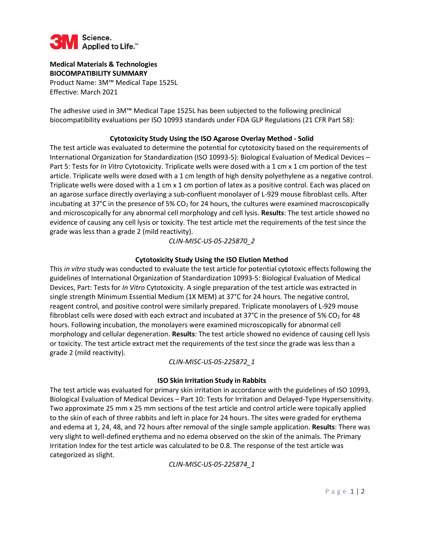

# **Medical Materials & Technologies BIOCOMPATIBILITY SUMMARY**

Product Name: 3M™ Medical Tape 1525L Effective: March 2021

The adhesive used in 3M™ Medical Tape 1525L has been subjected to the following preclinical biocompatibility evaluations per ISO 10993 standards under FDA GLP Regulations (21 CFR Part 58):

### **Cytotoxicity Study Using the ISO Agarose Overlay Method - Solid**

The test article was evaluated to determine the potential for cytotoxicity based on the requirements of International Organization for Standardization (ISO 10993-5): Biological Evaluation of Medical Devices – Part 5: Tests for *In Vitro* Cytotoxicity. Triplicate wells were dosed with a 1 cm x 1 cm portion of the test article. Triplicate wells were dosed with a 1 cm length of high density polyethylene as a negative control. Triplicate wells were dosed with a 1 cm x 1 cm portion of latex as a positive control. Each was placed on an agarose surface directly overlaying a sub-confluent monolayer of L-929 mouse fibroblast cells. After incubating at 37 $^{\circ}$ C in the presence of 5% CO<sub>2</sub> for 24 hours, the cultures were examined macroscopically and microscopically for any abnormal cell morphology and cell lysis. **Results**: The test article showed no evidence of causing any cell lysis or toxicity. The test article met the requirements of the test since the grade was less than a grade 2 (mild reactivity).

*CLIN-MISC-US-05-225870\_2*

### **Cytotoxicity Study Using the ISO Elution Method**

This *in vitro* study was conducted to evaluate the test article for potential cytotoxic effects following the guidelines of International Organization of Standardization 10993-5: Biological Evaluation of Medical Devices, Part: Tests for *In Vitro* Cytotoxicity. A single preparation of the test article was extracted in single strength Minimum Essential Medium (1X MEM) at 37°C for 24 hours. The negative control, reagent control, and positive control were similarly prepared. Triplicate monolayers of L-929 mouse fibroblast cells were dosed with each extract and incubated at 37°C in the presence of 5% CO<sub>2</sub> for 48 hours. Following incubation, the monolayers were examined microscopically for abnormal cell morphology and cellular degeneration. **Results**: The test article showed no evidence of causing cell lysis or toxicity. The test article extract met the requirements of the test since the grade was less than a grade 2 (mild reactivity).

# *CLIN-MISC-US-05-225872\_1*

# **ISO Skin Irritation Study in Rabbits**

The test article was evaluated for primary skin irritation in accordance with the guidelines of ISO 10993, Biological Evaluation of Medical Devices – Part 10: Tests for Irritation and Delayed-Type Hypersensitivity. Two approximate 25 mm x 25 mm sections of the test article and control article were topically applied to the skin of each of three rabbits and left in place for 24 hours. The sites were graded for erythema and edema at 1, 24, 48, and 72 hours after removal of the single sample application. **Results**: There was very slight to well-defined erythema and no edema observed on the skin of the animals. The Primary Irritation Index for the test article was calculated to be 0.8. The response of the test article was categorized as slight.

*CLIN-MISC-US-05-225874\_1*